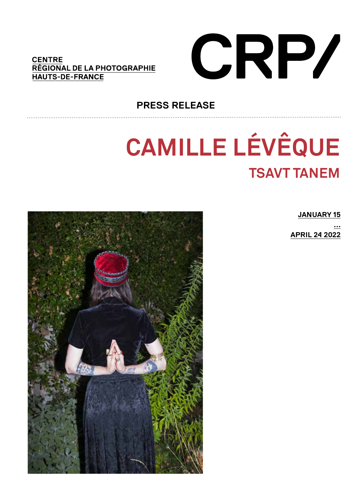### **CENTRE** RÉGIONAL DE LA PHOTOGRAPHIE **HAUTS-DE-FRANCE**



# **PRESS RELEASE**

# **CAMILLE LÉVÊQUE TSAVT TANEM**



**JANUARY 15** 

**APRIL 24 2022**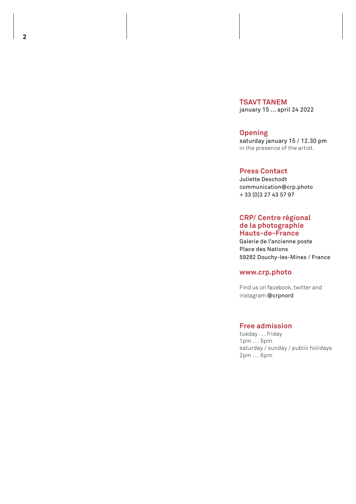**TSAVT TANEM** january 15 ... april 24 2022

**Opening**

saturday january 15 / 12.30 pm in the presence of the artist.

#### **Press Contact**

Juliette Deschodt communication@crp.photo + 33 [0]3 27 43 57 97

#### **CRP/ Centre régional de la photographie Hauts-de-France**

Galerie de l'ancienne poste Place des Nations 59282 Douchy-les-Mines / France

#### **www.crp.photo**

Find us on facebook, twitter and instagram @crpnord

#### **Free admission**

tueday . . . friday 1pm . . . 5pm saturday / sunday / public holidays 2pm . . . 6pm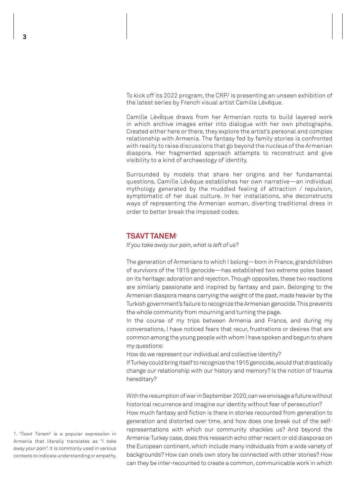To kick off its 2022 program, the CRP/ is presenting an unseen exhibition of the latest series by French visual artist Camille Lévêque.

Camille Lévêque draws from her Armenian roots to build layered work in which archive images enter into dialogue with her own photographs. Created either here or there, they explore the artist's personal and complex relationship with Armenia. The fantasy fed by family stories is confronted with reality to raise discussions that go beyond the nucleus of the Armenian diaspora. Her fragmented approach attempts to reconstruct and give visibility to a kind of archaeology of identity.

Surrounded by models that share her origins and her fundamental questions, Camille Lévêque establishes her own narrative—an individual mythology generated by the muddled feeling of attraction / repulsion, symptomatic of her dual culture. In her installations, she deconstructs ways of representing the Armenian woman, diverting traditional dress in order to better break the imposed codes.

#### **TSAVT TANEM**<sup>1</sup>

*If you take away our pain, what is left of us?*

The generation of Armenians to which I belong—born in France, grandchildren of survivors of the 1915 genocide—has established two extreme poles based on its heritage: adoration and rejection. Though opposites, these two reactions are similarly passionate and inspired by fantasy and pain. Belonging to the Armenian diaspora means carrying the weight of the past, made heavier by the Turkish government's failure to recognize the Armenian genocide. This prevents the whole community from mourning and turning the page.

In the course of my trips between Armenia and France, and during my conversations, I have noticed fears that recur, frustrations or desires that are common among the young people with whom I have spoken and begun to share my questions:

How do we represent our individual and collective identity?

If Turkey could bring itself to recognize the 1915 genocide, would that drastically change our relationship with our history and memory? Is the notion of trauma hereditary?

With the resumption of war in September 2020, can we envisage a future without historical recurrence and imagine our identity without fear of persecution? How much fantasy and fiction is there in stories recounted from generation to generation and distorted over time, and how does one break out of the selfrepresentations with which our community shackles us? And beyond the Armenia-Turkey case, does this research echo other recent or old diasporas on the European continent, which include many individuals from a wide variety of backgrounds? How can one's own story be connected with other stories? How can they be inter-recounted to create a common, communicable work in which

1. '*Tsavt Tanem*' is a popular expression in Armenia that literally translates as "*I take away your pain*". It is commonly used in various contexts to indicate understanding or empathy.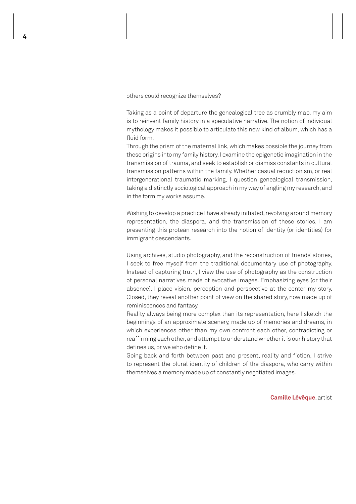others could recognize themselves?

Taking as a point of departure the genealogical tree as crumbly map, my aim is to reinvent family history in a speculative narrative. The notion of individual mythology makes it possible to articulate this new kind of album, which has a fluid form.

Through the prism of the maternal link, which makes possible the journey from these origins into my family history, I examine the epigenetic imagination in the transmission of trauma, and seek to establish or dismiss constants in cultural transmission patterns within the family. Whether casual reductionism, or real intergenerational traumatic marking, I question genealogical transmission, taking a distinctly sociological approach in my way of angling my research, and in the form my works assume.

Wishing to develop a practice I have already initiated, revolving around memory representation, the diaspora, and the transmission of these stories, I am presenting this protean research into the notion of identity (or identities) for immigrant descendants.

Using archives, studio photography, and the reconstruction of friends' stories, I seek to free myself from the traditional documentary use of photography. Instead of capturing truth, I view the use of photography as the construction of personal narratives made of evocative images. Emphasizing eyes (or their absence), I place vision, perception and perspective at the center my story. Closed, they reveal another point of view on the shared story, now made up of reminiscences and fantasy.

Reality always being more complex than its representation, here I sketch the beginnings of an approximate scenery, made up of memories and dreams, in which experiences other than my own confront each other, contradicting or reaffirming each other, and attempt to understand whether it is our history that defines us, or we who define it.

Going back and forth between past and present, reality and fiction, I strive to represent the plural identity of children of the diaspora, who carry within themselves a memory made up of constantly negotiated images.

**Camille Lévêque**, artist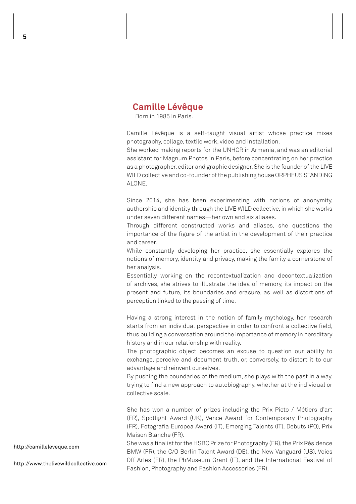## **Camille Lévêque**

Born in 1985 in Paris.

Camille Lévêque is a self-taught visual artist whose practice mixes photography, collage, textile work, video and installation.

She worked making reports for the UNHCR in Armenia, and was an editorial assistant for Magnum Photos in Paris, before concentrating on her practice as a photographer, editor and graphic designer. She is the founder of the LIVE WILD collective and co-founder of the publishing house ORPHEUS STANDING ALONE.

Since 2014, she has been experimenting with notions of anonymity, authorship and identity through the LIVE WILD collective, in which she works under seven different names—her own and six aliases.

Through different constructed works and aliases, she questions the importance of the figure of the artist in the development of their practice and career.

While constantly developing her practice, she essentially explores the notions of memory, identity and privacy, making the family a cornerstone of her analysis.

Essentially working on the recontextualization and decontextualization of archives, she strives to illustrate the idea of memory, its impact on the present and future, its boundaries and erasure, as well as distortions of perception linked to the passing of time.

Having a strong interest in the notion of family mythology, her research starts from an individual perspective in order to confront a collective field, thus building a conversation around the importance of memory in hereditary history and in our relationship with reality.

The photographic object becomes an excuse to question our ability to exchange, perceive and document truth, or, conversely, to distort it to our advantage and reinvent ourselves.

By pushing the boundaries of the medium, she plays with the past in a way, trying to find a new approach to autobiography, whether at the individual or collective scale.

She has won a number of prizes including the Prix Picto / Métiers d'art (FR), Spotlight Award (UK), Vence Award for Contemporary Photography (FR), Fotografia Europea Award (IT), Emerging Talents (IT), Debuts (PO), Prix Maison Blanche (FR).

She was a finalist for the HSBC Prize for Photography (FR), the Prix Résidence BMW (FR), the C/O Berlin Talent Award (DE), the New Vanguard (US), Voies Off Arles (FR), the PhMuseum Grant (IT), and the International Festival of Fashion, Photography and Fashion Accessories (FR).

http://camilleleveque.com

http://www.thelivewildcollective.com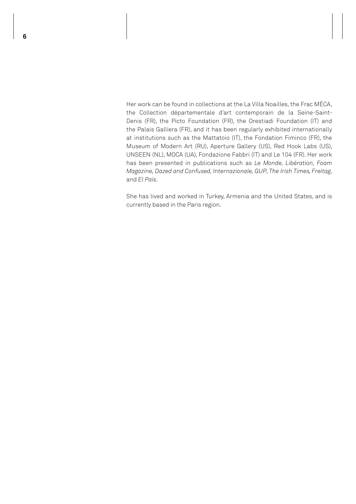Her work can be found in collections at the La Villa Noailles, the Frac MÉCA, the Collection départementale d'art contemporain de la Seine-Saint-Denis (FR), the Picto Foundation (FR), the Orestiadi Foundation (IT) and the Palais Galliera (FR), and it has been regularly exhibited internationally at institutions such as the Mattatoio (IT), the Fondation Fiminco (FR), the Museum of Modern Art (RU), Aperture Gallery (US), Red Hook Labs (US), UNSEEN (NL), MOCA (UA), Fondazione Fabbri (IT) and Le 104 (FR). Her work has been presented in publications such as *Le Monde, Libération, Foam Magazine, Dazed and Confused, Internazionale, GUP, The Irish Times, Freitag*, and *El País*.

She has lived and worked in Turkey, Armenia and the United States, and is currently based in the Paris region.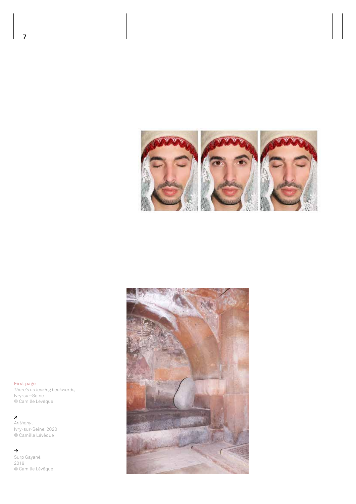



First page

*There's no looking backwards,*  Ivry-sur-Seine © Camille Lévêque

*Anthony*, Ivry-sur-Seine, 2020 © Camille Lévêque

 $\rightarrow$ Surp Gayané, 2019 © Camille Lévêque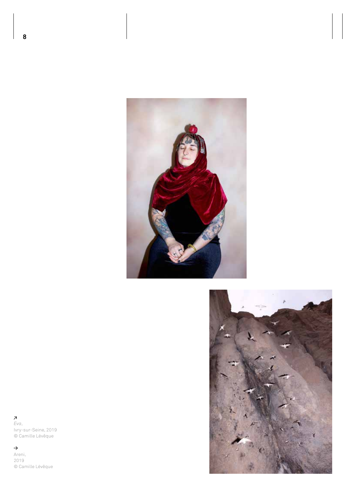



*Eva*, Ivry-sur-Seine, 2019 © Camille Lévêque

#### $\rightarrow$

Areni, 2019 © Camille Lévêque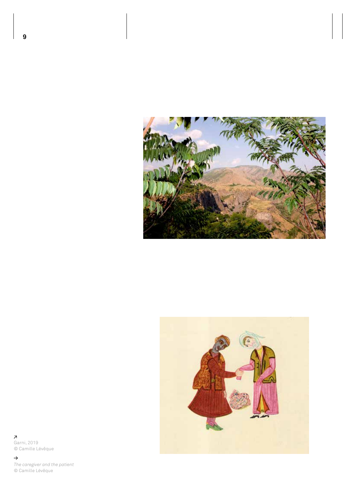



**7**<br>Garni, 2019 © Camille Lévêque

 $\rightarrow$ *The caregiver and the patient* © Camille Lévêque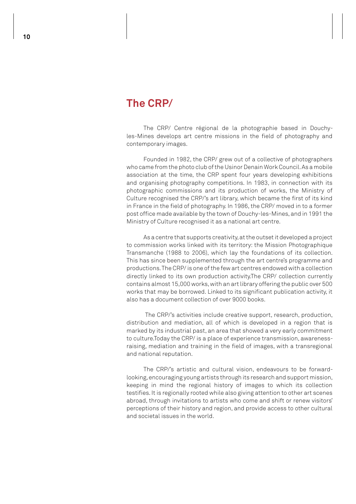# **The CRP/**

The CRP/ Centre régional de la photographie based in Douchyles-Mines develops art centre missions in the field of photography and contemporary images.

Founded in 1982, the CRP/ grew out of a collective of photographers who came from the photo club of the Usinor Denain Work Council. As a mobile association at the time, the CRP spent four years developing exhibitions and organising photography competitions. In 1983, in connection with its photographic commissions and its production of works, the Ministry of Culture recognised the CRP/'s art library, which became the first of its kind in France in the field of photography. In 1986, the CRP/ moved in to a former post office made available by the town of Douchy-les-Mines, and in 1991 the Ministry of Culture recognised it as a national art centre.

As a centre that supports creativity, at the outset it developed a project to commission works linked with its territory: the Mission Photographique Transmanche (1988 to 2006), which lay the foundations of its collection. This has since been supplemented through the art centre's programme and productions. The CRP/ is one of the few art centres endowed with a collection directly linked to its own production activity.The CRP/ collection currently contains almost 15,000 works, with an art library offering the public over 500 works that may be borrowed. Linked to its significant publication activity, it also has a document collection of over 9000 books.

 The CRP/'s activities include creative support, research, production, distribution and mediation, all of which is developed in a region that is marked by its industrial past, an area that showed a very early commitment to culture.Today the CRP/ is a place of experience transmission, awarenessraising, mediation and training in the field of images, with a transregional and national reputation.

The CRP/'s artistic and cultural vision, endeavours to be forwardlooking, encouraging young artists through its research and support mission, keeping in mind the regional history of images to which its collection testifies. It is regionally rooted while also giving attention to other art scenes abroad, through invitations to artists who come and shift or renew visitors' perceptions of their history and region, and provide access to other cultural and societal issues in the world.